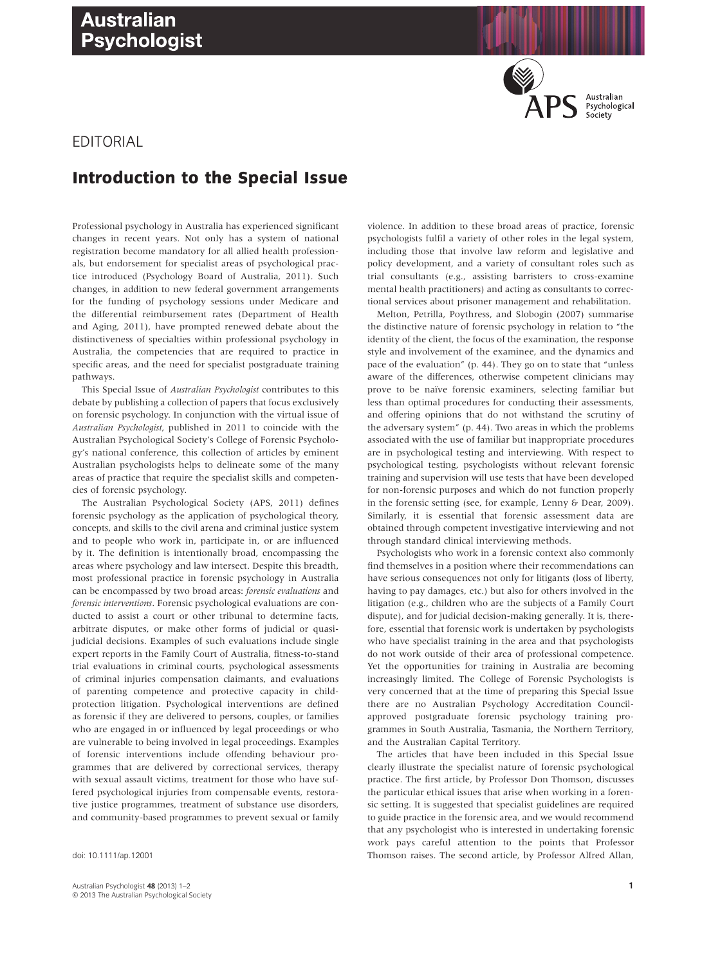# **Australian Psychologist**



## EDITORIAL

## **Introduction to the Special Issue**

Professional psychology in Australia has experienced significant changes in recent years. Not only has a system of national registration become mandatory for all allied health professionals, but endorsement for specialist areas of psychological practice introduced (Psychology Board of Australia, 2011). Such changes, in addition to new federal government arrangements for the funding of psychology sessions under Medicare and the differential reimbursement rates (Department of Health and Aging, 2011), have prompted renewed debate about the distinctiveness of specialties within professional psychology in Australia, the competencies that are required to practice in specific areas, and the need for specialist postgraduate training pathways.

This Special Issue of *Australian Psychologist* contributes to this debate by publishing a collection of papers that focus exclusively on forensic psychology. In conjunction with the virtual issue of *Australian Psychologist*, published in 2011 to coincide with the Australian Psychological Society's College of Forensic Psychology's national conference, this collection of articles by eminent Australian psychologists helps to delineate some of the many areas of practice that require the specialist skills and competencies of forensic psychology.

The Australian Psychological Society (APS, 2011) defines forensic psychology as the application of psychological theory, concepts, and skills to the civil arena and criminal justice system and to people who work in, participate in, or are influenced by it. The definition is intentionally broad, encompassing the areas where psychology and law intersect. Despite this breadth, most professional practice in forensic psychology in Australia can be encompassed by two broad areas: *forensic evaluations* and *forensic interventions*. Forensic psychological evaluations are conducted to assist a court or other tribunal to determine facts, arbitrate disputes, or make other forms of judicial or quasijudicial decisions. Examples of such evaluations include single expert reports in the Family Court of Australia, fitness-to-stand trial evaluations in criminal courts, psychological assessments of criminal injuries compensation claimants, and evaluations of parenting competence and protective capacity in childprotection litigation. Psychological interventions are defined as forensic if they are delivered to persons, couples, or families who are engaged in or influenced by legal proceedings or who are vulnerable to being involved in legal proceedings. Examples of forensic interventions include offending behaviour programmes that are delivered by correctional services, therapy with sexual assault victims, treatment for those who have suffered psychological injuries from compensable events, restorative justice programmes, treatment of substance use disorders, and community-based programmes to prevent sexual or family

violence. In addition to these broad areas of practice, forensic psychologists fulfil a variety of other roles in the legal system, including those that involve law reform and legislative and policy development, and a variety of consultant roles such as trial consultants (e.g., assisting barristers to cross-examine mental health practitioners) and acting as consultants to correctional services about prisoner management and rehabilitation.

Melton, Petrilla, Poythress, and Slobogin (2007) summarise the distinctive nature of forensic psychology in relation to "the identity of the client, the focus of the examination, the response style and involvement of the examinee, and the dynamics and pace of the evaluation" (p. 44). They go on to state that "unless aware of the differences, otherwise competent clinicians may prove to be naïve forensic examiners, selecting familiar but less than optimal procedures for conducting their assessments, and offering opinions that do not withstand the scrutiny of the adversary system" (p. 44). Two areas in which the problems associated with the use of familiar but inappropriate procedures are in psychological testing and interviewing. With respect to psychological testing, psychologists without relevant forensic training and supervision will use tests that have been developed for non-forensic purposes and which do not function properly in the forensic setting (see, for example, Lenny & Dear, 2009). Similarly, it is essential that forensic assessment data are obtained through competent investigative interviewing and not through standard clinical interviewing methods.

Psychologists who work in a forensic context also commonly find themselves in a position where their recommendations can have serious consequences not only for litigants (loss of liberty, having to pay damages, etc.) but also for others involved in the litigation (e.g., children who are the subjects of a Family Court dispute), and for judicial decision-making generally. It is, therefore, essential that forensic work is undertaken by psychologists who have specialist training in the area and that psychologists do not work outside of their area of professional competence. Yet the opportunities for training in Australia are becoming increasingly limited. The College of Forensic Psychologists is very concerned that at the time of preparing this Special Issue there are no Australian Psychology Accreditation Councilapproved postgraduate forensic psychology training programmes in South Australia, Tasmania, the Northern Territory, and the Australian Capital Territory.

The articles that have been included in this Special Issue clearly illustrate the specialist nature of forensic psychological practice. The first article, by Professor Don Thomson, discusses the particular ethical issues that arise when working in a forensic setting. It is suggested that specialist guidelines are required to guide practice in the forensic area, and we would recommend that any psychologist who is interested in undertaking forensic work pays careful attention to the points that Professor doi: 10.1111/ap.12001 Thomson raises. The second article, by Professor Alfred Allan,